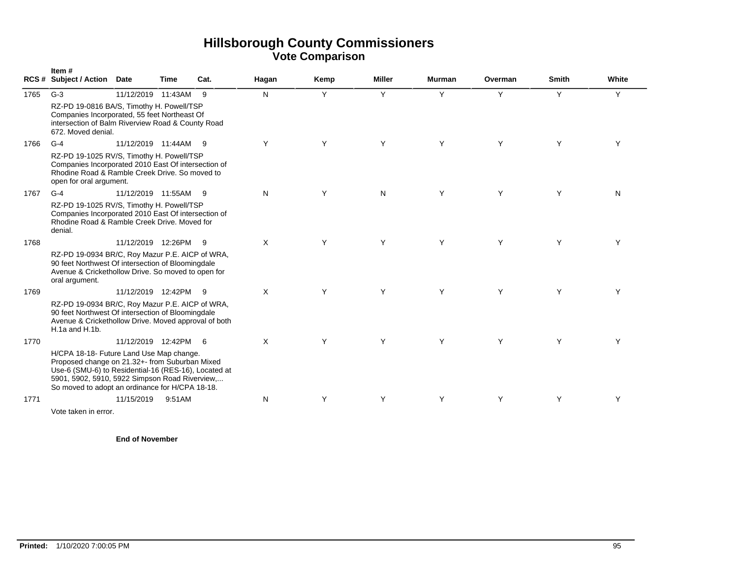|      | Item#<br><b>RCS # Subject / Action</b>                                                                                                                                                                                                                  | Date                   | Time   | Cat. | Hagan    | Kemp | <b>Miller</b> | <b>Murman</b> | Overman | <b>Smith</b> | White |
|------|---------------------------------------------------------------------------------------------------------------------------------------------------------------------------------------------------------------------------------------------------------|------------------------|--------|------|----------|------|---------------|---------------|---------|--------------|-------|
| 1765 | $G-3$                                                                                                                                                                                                                                                   | 11/12/2019 11:43AM     |        | - 9  | N        | Y    | Y             | Y             | Y       | Y            | Y     |
|      | RZ-PD 19-0816 BA/S, Timothy H. Powell/TSP<br>Companies Incorporated, 55 feet Northeast Of<br>intersection of Balm Riverview Road & County Road<br>672. Moved denial.                                                                                    |                        |        |      |          |      |               |               |         |              |       |
| 1766 | $G-4$                                                                                                                                                                                                                                                   | 11/12/2019 11:44AM     |        | - 9  | Y        | Υ    | Y             | Y             | Y       | Y            | Y     |
|      | RZ-PD 19-1025 RV/S, Timothy H. Powell/TSP<br>Companies Incorporated 2010 East Of intersection of<br>Rhodine Road & Ramble Creek Drive. So moved to<br>open for oral argument.                                                                           |                        |        |      |          |      |               |               |         |              |       |
| 1767 | $G-4$                                                                                                                                                                                                                                                   | 11/12/2019  11:55AM  9 |        |      | N        | Y    | N             | Y             | Y       | Y            | N     |
|      | RZ-PD 19-1025 RV/S, Timothy H. Powell/TSP<br>Companies Incorporated 2010 East Of intersection of<br>Rhodine Road & Ramble Creek Drive, Moved for<br>denial.                                                                                             |                        |        |      |          |      |               |               |         |              |       |
| 1768 |                                                                                                                                                                                                                                                         | 11/12/2019 12:26PM 9   |        |      | X        | Y    | Y             | Y             | Y       | Y            | Y     |
|      | RZ-PD 19-0934 BR/C, Roy Mazur P.E. AICP of WRA,<br>90 feet Northwest Of intersection of Bloomingdale<br>Avenue & Crickethollow Drive. So moved to open for<br>oral argument.                                                                            |                        |        |      |          |      |               |               |         |              |       |
| 1769 |                                                                                                                                                                                                                                                         | 11/12/2019 12:42PM     |        | - 9  | X        | Υ    | Y             | Y             | Y       | Y            | Y     |
|      | RZ-PD 19-0934 BR/C, Roy Mazur P.E. AICP of WRA,<br>90 feet Northwest Of intersection of Bloomingdale<br>Avenue & Crickethollow Drive. Moved approval of both<br>$H.1a$ and $H.1b$ .                                                                     |                        |        |      |          |      |               |               |         |              |       |
| 1770 |                                                                                                                                                                                                                                                         | 11/12/2019 12:42PM 6   |        |      | $\times$ | Y    | Y             | Y             | Y       | Y            | Y     |
|      | H/CPA 18-18- Future Land Use Map change.<br>Proposed change on 21.32+- from Suburban Mixed<br>Use-6 (SMU-6) to Residential-16 (RES-16), Located at<br>5901, 5902, 5910, 5922 Simpson Road Riverview,<br>So moved to adopt an ordinance for H/CPA 18-18. |                        |        |      |          |      |               |               |         |              |       |
| 1771 |                                                                                                                                                                                                                                                         | 11/15/2019             | 9:51AM |      | N        | Y    | Y             | Y             | Y       | Y            | Y     |
|      | Vote taken in error.                                                                                                                                                                                                                                    |                        |        |      |          |      |               |               |         |              |       |

**End of November**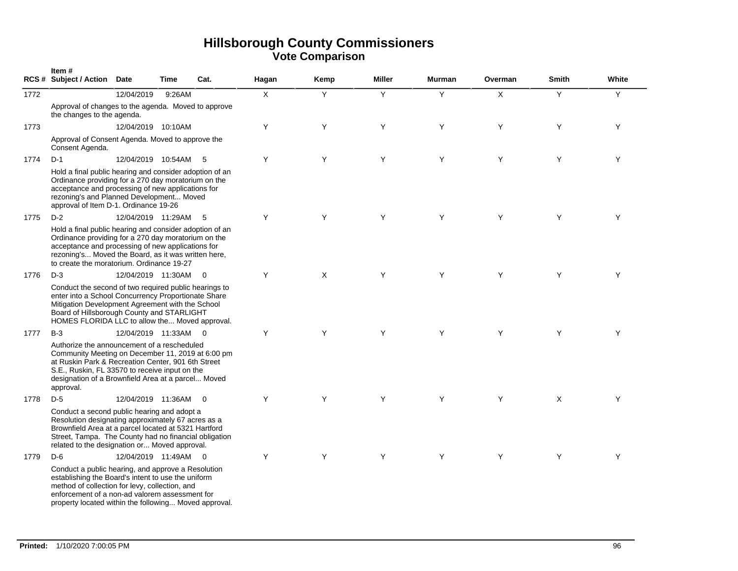|      | Item#<br><b>RCS # Subject / Action</b>                                                                                                                                                                                                                                      | <b>Date</b>        | Time   | Cat.                    | Hagan        | Kemp | <b>Miller</b> | <b>Murman</b> | Overman | <b>Smith</b> | White |
|------|-----------------------------------------------------------------------------------------------------------------------------------------------------------------------------------------------------------------------------------------------------------------------------|--------------------|--------|-------------------------|--------------|------|---------------|---------------|---------|--------------|-------|
| 1772 |                                                                                                                                                                                                                                                                             | 12/04/2019         | 9:26AM |                         | $\mathsf{X}$ | Y    | Y             | Y             | X       | Y            | Y     |
|      | Approval of changes to the agenda. Moved to approve<br>the changes to the agenda.                                                                                                                                                                                           |                    |        |                         |              |      |               |               |         |              |       |
| 1773 |                                                                                                                                                                                                                                                                             | 12/04/2019 10:10AM |        |                         | Y            | Y    | Y             | Y             | Y       | Y            | Y     |
|      | Approval of Consent Agenda. Moved to approve the<br>Consent Agenda.                                                                                                                                                                                                         |                    |        |                         |              |      |               |               |         |              |       |
| 1774 | $D-1$                                                                                                                                                                                                                                                                       | 12/04/2019 10:54AM |        | - 5                     | Y            | Y    | Y             | Y             | Y       | Y            | Y     |
|      | Hold a final public hearing and consider adoption of an<br>Ordinance providing for a 270 day moratorium on the<br>acceptance and processing of new applications for<br>rezoning's and Planned Development Moved<br>approval of Item D-1. Ordinance 19-26                    |                    |        |                         |              |      |               |               |         |              |       |
| 1775 | $D-2$                                                                                                                                                                                                                                                                       | 12/04/2019 11:29AM |        | 5                       | Y            | Y    | Y             | Y             | Y       | Y            | Y     |
|      | Hold a final public hearing and consider adoption of an<br>Ordinance providing for a 270 day moratorium on the<br>acceptance and processing of new applications for<br>rezoning's Moved the Board, as it was written here,<br>to create the moratorium. Ordinance 19-27     |                    |        |                         |              |      |               |               |         |              |       |
| 1776 | $D-3$                                                                                                                                                                                                                                                                       | 12/04/2019 11:30AM |        | $\overline{0}$          | Y            | X    | Y             | Y             | Y       | Y            | Y     |
|      | Conduct the second of two required public hearings to<br>enter into a School Concurrency Proportionate Share<br>Mitigation Development Agreement with the School<br>Board of Hillsborough County and STARLIGHT<br>HOMES FLORIDA LLC to allow the Moved approval.            |                    |        |                         |              |      |               |               |         |              |       |
| 1777 | $B-3$                                                                                                                                                                                                                                                                       | 12/04/2019 11:33AM |        | $\overline{\mathbf{0}}$ | Y            | Y    | Y             | Y             | Y       | Y            | Y     |
|      | Authorize the announcement of a rescheduled<br>Community Meeting on December 11, 2019 at 6:00 pm<br>at Ruskin Park & Recreation Center, 901 6th Street<br>S.E., Ruskin, FL 33570 to receive input on the<br>designation of a Brownfield Area at a parcel Moved<br>approval. |                    |        |                         |              |      |               |               |         |              |       |
| 1778 | $D-5$                                                                                                                                                                                                                                                                       | 12/04/2019 11:36AM |        | $\overline{0}$          | Y            | Y    | Y             | Y             | Y       | X            | Y     |
|      | Conduct a second public hearing and adopt a<br>Resolution designating approximately 67 acres as a<br>Brownfield Area at a parcel located at 5321 Hartford<br>Street, Tampa. The County had no financial obligation<br>related to the designation or Moved approval.         |                    |        |                         |              |      |               |               |         |              |       |
| 1779 | $D-6$                                                                                                                                                                                                                                                                       | 12/04/2019 11:49AM |        | $\overline{0}$          | Y            | Y    | Y             | Y             | Y       | Y            | Y     |
|      | Conduct a public hearing, and approve a Resolution<br>establishing the Board's intent to use the uniform<br>method of collection for levy, collection, and<br>enforcement of a non-ad valorem assessment for<br>property located within the following Moved approval.       |                    |        |                         |              |      |               |               |         |              |       |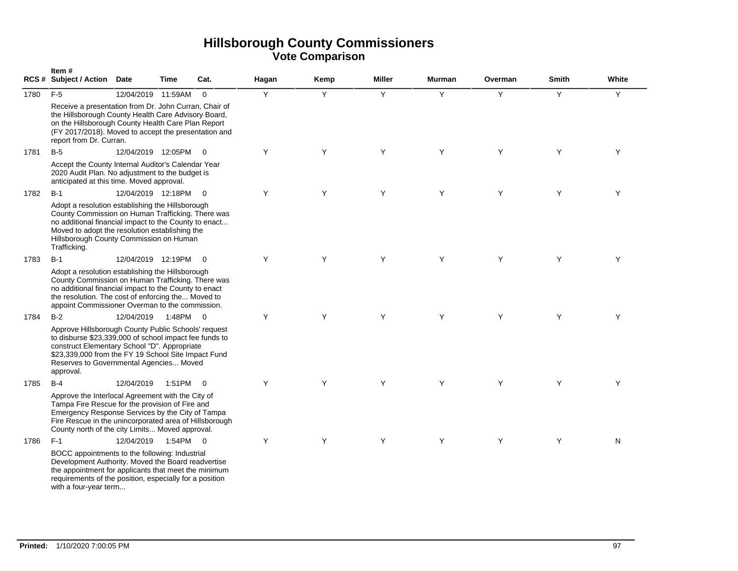|      | Item#<br><b>RCS # Subject / Action</b>                                                                                                                                                                                                                                       | <b>Date</b>        | <b>Time</b> | Cat.           | Hagan | Kemp | <b>Miller</b> | <b>Murman</b> | Overman | <b>Smith</b> | White |
|------|------------------------------------------------------------------------------------------------------------------------------------------------------------------------------------------------------------------------------------------------------------------------------|--------------------|-------------|----------------|-------|------|---------------|---------------|---------|--------------|-------|
| 1780 | $F-5$                                                                                                                                                                                                                                                                        | 12/04/2019 11:59AM |             | $\Omega$       | Y     | Y    | Y             | Y             | Y       | Y            | Y     |
|      | Receive a presentation from Dr. John Curran, Chair of<br>the Hillsborough County Health Care Advisory Board,<br>on the Hillsborough County Health Care Plan Report<br>(FY 2017/2018). Moved to accept the presentation and<br>report from Dr. Curran.                        |                    |             |                |       |      |               |               |         |              |       |
| 1781 | $B-5$                                                                                                                                                                                                                                                                        | 12/04/2019 12:05PM |             | $\overline{0}$ | Y     | Y    | Y             | Y             | Y       | Y            | Y     |
|      | Accept the County Internal Auditor's Calendar Year<br>2020 Audit Plan. No adjustment to the budget is<br>anticipated at this time. Moved approval.                                                                                                                           |                    |             |                |       |      |               |               |         |              |       |
| 1782 | $B-1$                                                                                                                                                                                                                                                                        | 12/04/2019 12:18PM |             | $\Omega$       | Y     | Y    | Y             | Y             | Y       | Y            | Y     |
|      | Adopt a resolution establishing the Hillsborough<br>County Commission on Human Trafficking. There was<br>no additional financial impact to the County to enact<br>Moved to adopt the resolution establishing the<br>Hillsborough County Commission on Human<br>Trafficking.  |                    |             |                |       |      |               |               |         |              |       |
| 1783 | $B-1$                                                                                                                                                                                                                                                                        | 12/04/2019 12:19PM |             | $\overline{0}$ | Y     | Y    | Y             | Y             | Y       | Y            | Y     |
|      | Adopt a resolution establishing the Hillsborough<br>County Commission on Human Trafficking. There was<br>no additional financial impact to the County to enact<br>the resolution. The cost of enforcing the Moved to<br>appoint Commissioner Overman to the commission.      |                    |             |                |       |      |               |               |         |              |       |
| 1784 | $B-2$                                                                                                                                                                                                                                                                        | 12/04/2019         | 1:48PM      | $\overline{0}$ | Y     | Y    | Y             | Y             | Y       | Y            | Υ     |
|      | Approve Hillsborough County Public Schools' request<br>to disburse \$23,339,000 of school impact fee funds to<br>construct Elementary School "D". Appropriate<br>\$23,339,000 from the FY 19 School Site Impact Fund<br>Reserves to Governmental Agencies Moved<br>approval. |                    |             |                |       |      |               |               |         |              |       |
| 1785 | $B-4$                                                                                                                                                                                                                                                                        | 12/04/2019         | 1:51PM      | $\overline{0}$ | Y     | Y    | Y             | Y             | Y       | Y            | Y     |
|      | Approve the Interlocal Agreement with the City of<br>Tampa Fire Rescue for the provision of Fire and<br>Emergency Response Services by the City of Tampa<br>Fire Rescue in the unincorporated area of Hillsborough<br>County north of the city Limits Moved approval.        |                    |             |                |       |      |               |               |         |              |       |
| 1786 | $F-1$                                                                                                                                                                                                                                                                        | 12/04/2019         | 1:54PM      | $\overline{0}$ | Y     | Y    | Y             | Y             | Y       | Y            | N     |
|      | BOCC appointments to the following: Industrial<br>Development Authority. Moved the Board readvertise<br>the appointment for applicants that meet the minimum<br>requirements of the position, especially for a position<br>with a four-year term                             |                    |             |                |       |      |               |               |         |              |       |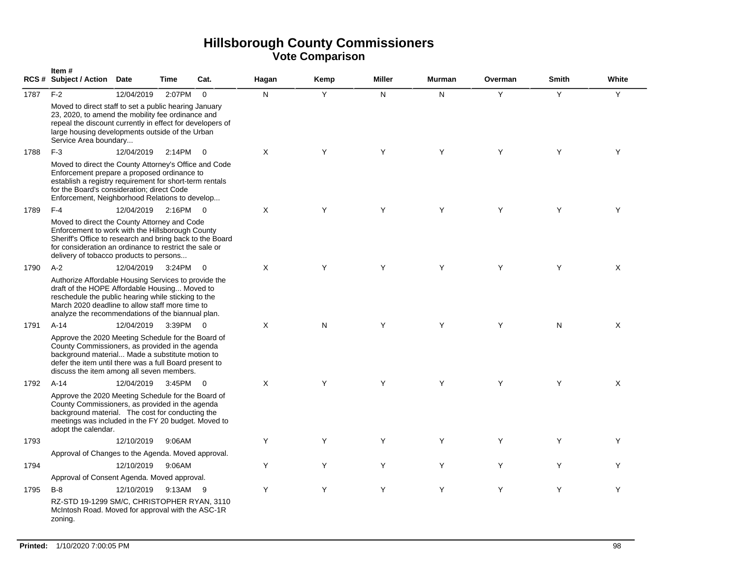|      | Item#<br>RCS # Subject / Action Date                                                                                                                                                                                                                                 |            | <b>Time</b> | Cat.           | Hagan | Kemp | <b>Miller</b> | <b>Murman</b> | Overman | <b>Smith</b> | White |
|------|----------------------------------------------------------------------------------------------------------------------------------------------------------------------------------------------------------------------------------------------------------------------|------------|-------------|----------------|-------|------|---------------|---------------|---------|--------------|-------|
| 1787 | $F-2$                                                                                                                                                                                                                                                                | 12/04/2019 | 2:07PM      | $\Omega$       | N     | Y    | N             | N             | Y       | Y            | Y     |
|      | Moved to direct staff to set a public hearing January<br>23, 2020, to amend the mobility fee ordinance and<br>repeal the discount currently in effect for developers of<br>large housing developments outside of the Urban<br>Service Area boundary                  |            |             |                |       |      |               |               |         |              |       |
| 1788 | $F-3$                                                                                                                                                                                                                                                                | 12/04/2019 | 2:14PM      | $\Omega$       | X     | Y    | Y             | Y             | Y       | Y            | Y     |
|      | Moved to direct the County Attorney's Office and Code<br>Enforcement prepare a proposed ordinance to<br>establish a registry requirement for short-term rentals<br>for the Board's consideration; direct Code<br>Enforcement, Neighborhood Relations to develop      |            |             |                |       |      |               |               |         |              |       |
| 1789 | $F-4$                                                                                                                                                                                                                                                                | 12/04/2019 | 2:16PM 0    |                | X     | Y    | Y             | Y             | Y       | Y            | Y     |
|      | Moved to direct the County Attorney and Code<br>Enforcement to work with the Hillsborough County<br>Sheriff's Office to research and bring back to the Board<br>for consideration an ordinance to restrict the sale or<br>delivery of tobacco products to persons    |            |             |                |       |      |               |               |         |              |       |
| 1790 | $A-2$                                                                                                                                                                                                                                                                | 12/04/2019 | 3:24PM      | $\Omega$       | X     | Y    | Y             | Y             | Y       | Y            | X     |
|      | Authorize Affordable Housing Services to provide the<br>draft of the HOPE Affordable Housing Moved to<br>reschedule the public hearing while sticking to the<br>March 2020 deadline to allow staff more time to<br>analyze the recommendations of the biannual plan. |            |             |                |       |      |               |               |         |              |       |
| 1791 | $A-14$                                                                                                                                                                                                                                                               | 12/04/2019 | 3:39PM 0    |                | X     | N    | Y             | Y             | Y       | N            | X     |
|      | Approve the 2020 Meeting Schedule for the Board of<br>County Commissioners, as provided in the agenda<br>background material Made a substitute motion to<br>defer the item until there was a full Board present to<br>discuss the item among all seven members.      |            |             |                |       |      |               |               |         |              |       |
| 1792 | $A-14$                                                                                                                                                                                                                                                               | 12/04/2019 | 3:45PM      | $\overline{0}$ | X     | Y    | Y             | Y             | Y       | Y            | X     |
|      | Approve the 2020 Meeting Schedule for the Board of<br>County Commissioners, as provided in the agenda<br>background material. The cost for conducting the<br>meetings was included in the FY 20 budget. Moved to<br>adopt the calendar.                              |            |             |                |       |      |               |               |         |              |       |
| 1793 |                                                                                                                                                                                                                                                                      | 12/10/2019 | 9:06AM      |                | Y     | Y    | Y             | Y             | Y       | Y            | Y     |
|      | Approval of Changes to the Agenda. Moved approval.                                                                                                                                                                                                                   |            |             |                |       |      |               |               |         |              |       |
| 1794 |                                                                                                                                                                                                                                                                      | 12/10/2019 | 9:06AM      |                | Y     | Y    | Y             | Y             | Y       | Y            | Y     |
|      | Approval of Consent Agenda. Moved approval.                                                                                                                                                                                                                          |            |             |                |       |      |               |               |         |              |       |
| 1795 | $B-8$                                                                                                                                                                                                                                                                | 12/10/2019 | 9:13AM      | - 9            | Y     | Y    | Y             | Y             | Y       | Y            | Y     |
|      | RZ-STD 19-1299 SM/C, CHRISTOPHER RYAN, 3110<br>McIntosh Road. Moved for approval with the ASC-1R<br>zoning.                                                                                                                                                          |            |             |                |       |      |               |               |         |              |       |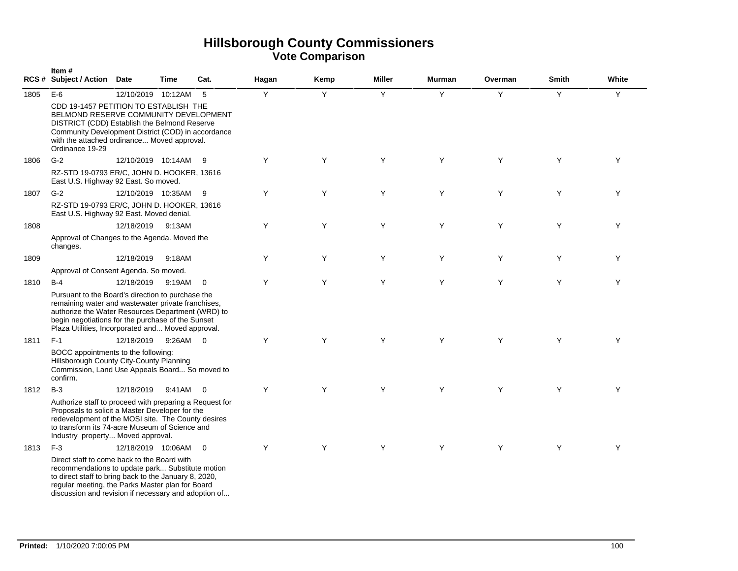|      | Item#<br><b>RCS # Subject / Action</b>                                                                                                                                                                                                                                 | <b>Date</b>          | Time     | Cat.                    | Hagan | Kemp | <b>Miller</b>  | Murman | Overman | <b>Smith</b> | White |
|------|------------------------------------------------------------------------------------------------------------------------------------------------------------------------------------------------------------------------------------------------------------------------|----------------------|----------|-------------------------|-------|------|----------------|--------|---------|--------------|-------|
| 1805 | $E-6$<br>CDD 19-1457 PETITION TO ESTABLISH THE                                                                                                                                                                                                                         | 12/10/2019 10:12AM   |          | 5                       | Y     | Y    | $\overline{Y}$ | Y      | Y       | Y            | Y     |
|      | BELMOND RESERVE COMMUNITY DEVELOPMENT<br>DISTRICT (CDD) Establish the Belmond Reserve<br>Community Development District (COD) in accordance<br>with the attached ordinance Moved approval.<br>Ordinance 19-29                                                          |                      |          |                         |       |      |                |        |         |              |       |
| 1806 | $G-2$                                                                                                                                                                                                                                                                  | 12/10/2019 10:14AM   |          | - 9                     | Y     | Y    | Y              | Y      | Y       | Y            | Y     |
|      | RZ-STD 19-0793 ER/C, JOHN D. HOOKER, 13616<br>East U.S. Highway 92 East. So moved.                                                                                                                                                                                     |                      |          |                         |       |      |                |        |         |              |       |
| 1807 | $G-2$                                                                                                                                                                                                                                                                  | 12/10/2019 10:35AM 9 |          |                         | Y     | Y    | Y              | Y      | Y       | Y            | Y     |
|      | RZ-STD 19-0793 ER/C, JOHN D. HOOKER, 13616<br>East U.S. Highway 92 East. Moved denial.                                                                                                                                                                                 |                      |          |                         |       |      |                |        |         |              |       |
| 1808 |                                                                                                                                                                                                                                                                        | 12/18/2019 9:13AM    |          |                         | Y     | Y    | Y              | Y      | Y       | Y            | Y     |
|      | Approval of Changes to the Agenda. Moved the<br>changes.                                                                                                                                                                                                               |                      |          |                         |       |      |                |        |         |              |       |
| 1809 |                                                                                                                                                                                                                                                                        | 12/18/2019           | 9:18AM   |                         | Y     | Y    | Y              | Y      | Y       | Y            | Y     |
|      | Approval of Consent Agenda. So moved.                                                                                                                                                                                                                                  |                      |          |                         |       |      |                |        |         |              |       |
| 1810 | $B-4$                                                                                                                                                                                                                                                                  | 12/18/2019           | 9:19AM   | $\Omega$                | Y     | Y    | Y              | Y      | Y       | Y            | Y     |
|      | Pursuant to the Board's direction to purchase the<br>remaining water and wastewater private franchises,<br>authorize the Water Resources Department (WRD) to<br>begin negotiations for the purchase of the Sunset<br>Plaza Utilities, Incorporated and Moved approval. |                      |          |                         |       |      |                |        |         |              |       |
| 1811 | $F-1$                                                                                                                                                                                                                                                                  | 12/18/2019           | 9:26AM 0 |                         | Y     | Y    | Y              | Y      | Y       | Y            | Y     |
|      | BOCC appointments to the following:<br>Hillsborough County City-County Planning<br>Commission, Land Use Appeals Board So moved to<br>confirm.                                                                                                                          |                      |          |                         |       |      |                |        |         |              |       |
| 1812 | $B-3$                                                                                                                                                                                                                                                                  | 12/18/2019           | 9:41AM   | $\overline{0}$          | Y     | Y    | Y              | Y      | Y       | Y            | Y     |
|      | Authorize staff to proceed with preparing a Request for<br>Proposals to solicit a Master Developer for the<br>redevelopment of the MOSI site. The County desires<br>to transform its 74-acre Museum of Science and<br>Industry property Moved approval.                |                      |          |                         |       |      |                |        |         |              |       |
| 1813 | $F-3$                                                                                                                                                                                                                                                                  | 12/18/2019 10:06AM   |          | $\overline{\mathbf{0}}$ | Y     | Y    | Y              | Y      | Y       | Y            | Y     |
|      | Direct staff to come back to the Board with<br>recommendations to update park Substitute motion<br>to direct staff to bring back to the January 8, 2020,<br>regular meeting, the Parks Master plan for Board<br>discussion and revision if necessary and adoption of   |                      |          |                         |       |      |                |        |         |              |       |